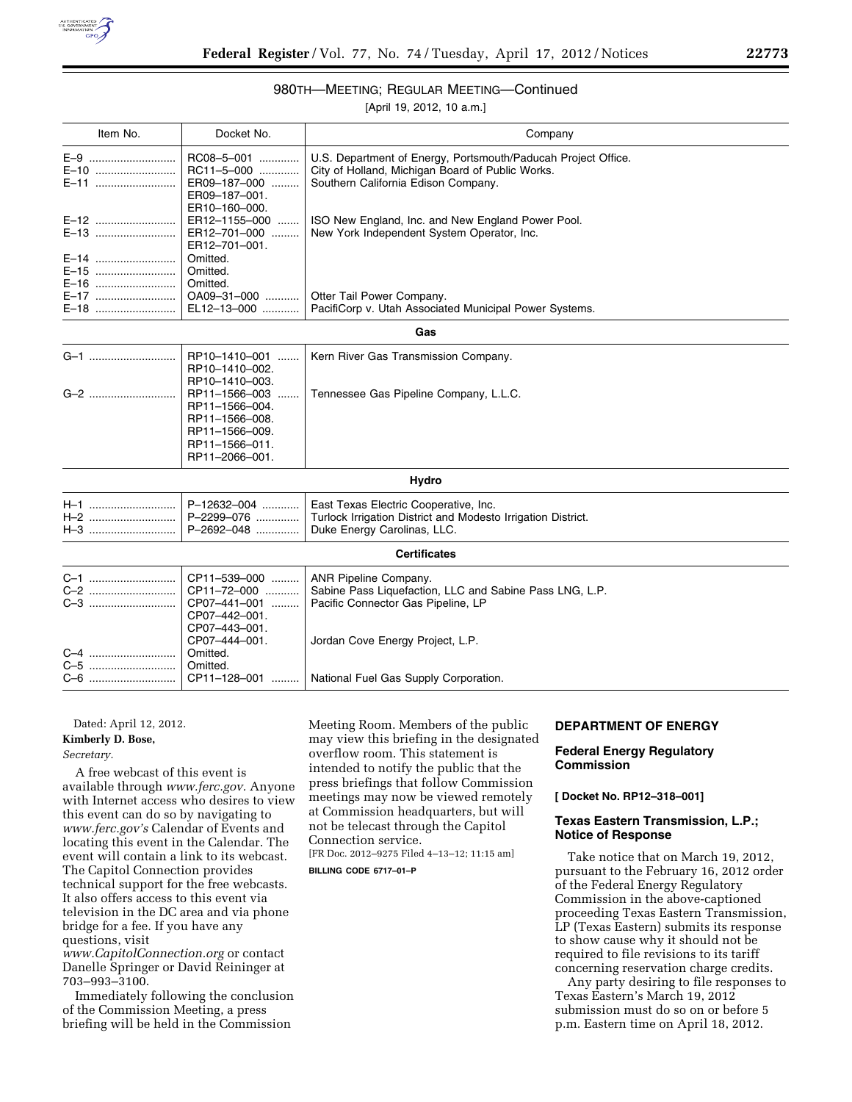

#### 980TH—MEETING; REGULAR MEETING—Continued

[April 19, 2012, 10 a.m.]

| Item No.             | Docket No.                                                                                              | Company                                                                                                                                                  |  |  |
|----------------------|---------------------------------------------------------------------------------------------------------|----------------------------------------------------------------------------------------------------------------------------------------------------------|--|--|
| E-10<br>E-11         | RC08-5-001<br>RC11-5-000<br>ER09-187-000<br>ER09-187-001.<br>ER10-160-000.                              | U.S. Department of Energy, Portsmouth/Paducah Project Office.<br>City of Holland, Michigan Board of Public Works.<br>Southern California Edison Company. |  |  |
| E-12<br>E-13         | ER12-1155-000<br>ER12-701-000<br>ER12-701-001.                                                          | ISO New England, Inc. and New England Power Pool.<br>New York Independent System Operator, Inc.                                                          |  |  |
| E-14<br>E-15<br>E-16 | Omitted.<br>Omitted.<br>Omitted.                                                                        |                                                                                                                                                          |  |  |
| E-17<br>E-18         | OA09-31-000<br>EL12-13-000                                                                              | Otter Tail Power Company.<br>PacifiCorp v. Utah Associated Municipal Power Systems.                                                                      |  |  |
|                      |                                                                                                         | Gas                                                                                                                                                      |  |  |
| G-1                  | RP10-1410-001<br>RP10-1410-002.<br>RP10-1410-003.                                                       | Kern River Gas Transmission Company.                                                                                                                     |  |  |
| G-2                  | RP11-1566-003<br>RP11-1566-004.<br>RP11-1566-008.<br>RP11-1566-009.<br>RP11-1566-011.<br>RP11-2066-001. | Tennessee Gas Pipeline Company, L.L.C.                                                                                                                   |  |  |
| Hydro                |                                                                                                         |                                                                                                                                                          |  |  |
| $H-1$                | P-12632-004                                                                                             | East Texas Electric Cooperative, Inc.                                                                                                                    |  |  |

| Certificates |               |                                  |  |  |
|--------------|---------------|----------------------------------|--|--|
|              |               |                                  |  |  |
|              |               |                                  |  |  |
|              |               |                                  |  |  |
|              | CP07-442-001. |                                  |  |  |
|              | CP07-443-001. |                                  |  |  |
|              | CP07-444-001. | Jordan Cove Energy Project, L.P. |  |  |
| C-4          | Omitted.      |                                  |  |  |
| C-5          | Omitted.      |                                  |  |  |
|              |               |                                  |  |  |

Dated: April 12, 2012.

## **Kimberly D. Bose,**

*Secretary.* 

A free webcast of this event is available through *[www.ferc.gov.](http://www.ferc.gov)* Anyone with Internet access who desires to view this event can do so by navigating to *[www.ferc.gov's](http://www.ferc.gov)* Calendar of Events and locating this event in the Calendar. The event will contain a link to its webcast. The Capitol Connection provides technical support for the free webcasts. It also offers access to this event via television in the DC area and via phone bridge for a fee. If you have any questions, visit

*[www.CapitolConnection.org](http://www.CapitolConnection.org)* or contact Danelle Springer or David Reininger at 703–993–3100.

Immediately following the conclusion of the Commission Meeting, a press briefing will be held in the Commission

Meeting Room. Members of the public may view this briefing in the designated overflow room. This statement is intended to notify the public that the press briefings that follow Commission meetings may now be viewed remotely at Commission headquarters, but will not be telecast through the Capitol Connection service. [FR Doc. 2012–9275 Filed 4–13–12; 11:15 am]

**BILLING CODE 6717–01–P** 

#### **DEPARTMENT OF ENERGY**

#### **Federal Energy Regulatory Commission**

**[ Docket No. RP12–318–001]** 

#### **Texas Eastern Transmission, L.P.; Notice of Response**

Take notice that on March 19, 2012, pursuant to the February 16, 2012 order of the Federal Energy Regulatory Commission in the above-captioned proceeding Texas Eastern Transmission, LP (Texas Eastern) submits its response to show cause why it should not be required to file revisions to its tariff concerning reservation charge credits.

Any party desiring to file responses to Texas Eastern's March 19, 2012 submission must do so on or before 5 p.m. Eastern time on April 18, 2012.